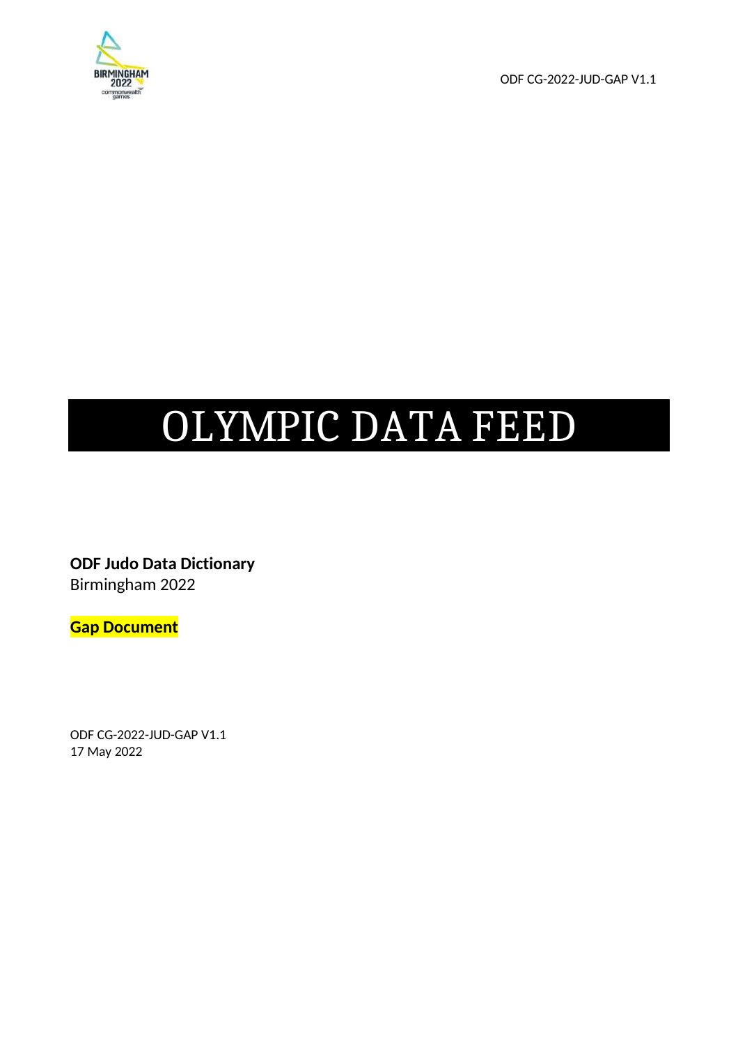

ODF CG-2022-JUD-GAP V1.1

# OLYMPIC DATA FEED

**ODF Judo Data Dictionary**  Birmingham 2022

**Gap Document** 

ODF CG-2022-JUD-GAP V1.1 17 May 2022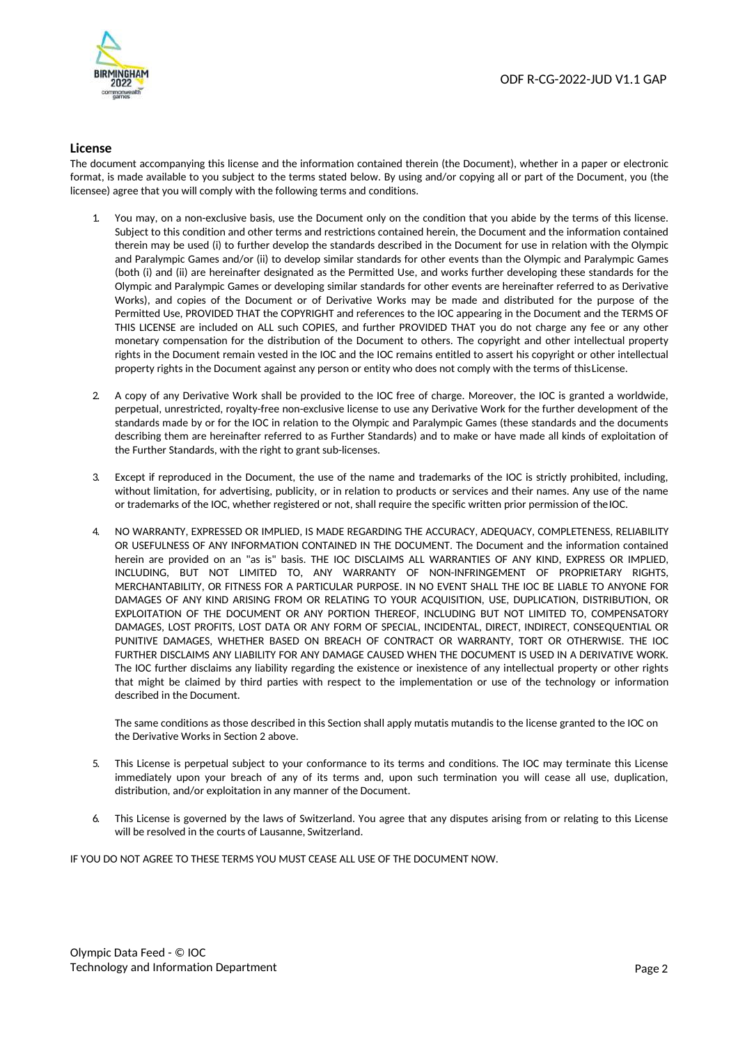

#### **License**

The document accompanying this license and the information contained therein (the Document), whether in a paper or electronic format, is made available to you subject to the terms stated below. By using and/or copying all or part of the Document, you (the licensee) agree that you will comply with the following terms and conditions.

- 1. You may, on a non-exclusive basis, use the Document only on the condition that you abide by the terms of this license. Subject to this condition and other terms and restrictions contained herein, the Document and the information contained therein may be used (i) to further develop the standards described in the Document for use in relation with the Olympic and Paralympic Games and/or (ii) to develop similar standards for other events than the Olympic and Paralympic Games (both (i) and (ii) are hereinafter designated as the Permitted Use, and works further developing these standards for the Olympic and Paralympic Games or developing similar standards for other events are hereinafter referred to as Derivative Works), and copies of the Document or of Derivative Works may be made and distributed for the purpose of the Permitted Use, PROVIDED THAT the COPYRIGHT and references to the IOC appearing in the Document and the TERMS OF THIS LICENSE are included on ALL such COPIES, and further PROVIDED THAT you do not charge any fee or any other monetary compensation for the distribution of the Document to others. The copyright and other intellectual property rights in the Document remain vested in the IOC and the IOC remains entitled to assert his copyright or other intellectual property rights in the Document against any person or entity who does not comply with the terms of this License.
- 2. A copy of any Derivative Work shall be provided to the IOC free of charge. Moreover, the IOC is granted a worldwide, perpetual, unrestricted, royalty-free non-exclusive license to use any Derivative Work for the further development of the standards made by or for the IOC in relation to the Olympic and Paralympic Games (these standards and the documents describing them are hereinafter referred to as Further Standards) and to make or have made all kinds of exploitation of the Further Standards, with the right to grant sub-licenses.
- 3. Except if reproduced in the Document, the use of the name and trademarks of the IOC is strictly prohibited, including, without limitation, for advertising, publicity, or in relation to products or services and their names. Any use of the name or trademarks of the IOC, whether registered or not, shall require the specific written prior permission of the IOC.
- 4. NO WARRANTY, EXPRESSED OR IMPLIED, IS MADE REGARDING THE ACCURACY, ADEQUACY, COMPLETENESS, RELIABILITY OR USEFULNESS OF ANY INFORMATION CONTAINED IN THE DOCUMENT. The Document and the information contained herein are provided on an "as is" basis. THE IOC DISCLAIMS ALL WARRANTIES OF ANY KIND, EXPRESS OR IMPLIED, INCLUDING, BUT NOT LIMITED TO, ANY WARRANTY OF NON-INFRINGEMENT OF PROPRIETARY RIGHTS, MERCHANTABILITY, OR FITNESS FOR A PARTICULAR PURPOSE. IN NO EVENT SHALL THE IOC BE LIABLE TO ANYONE FOR DAMAGES OF ANY KIND ARISING FROM OR RELATING TO YOUR ACQUISITION, USE, DUPLICATION, DISTRIBUTION, OR EXPLOITATION OF THE DOCUMENT OR ANY PORTION THEREOF, INCLUDING BUT NOT LIMITED TO, COMPENSATORY DAMAGES, LOST PROFITS, LOST DATA OR ANY FORM OF SPECIAL, INCIDENTAL, DIRECT, INDIRECT, CONSEQUENTIAL OR PUNITIVE DAMAGES, WHETHER BASED ON BREACH OF CONTRACT OR WARRANTY, TORT OR OTHERWISE. THE IOC FURTHER DISCLAIMS ANY LIABILITY FOR ANY DAMAGE CAUSED WHEN THE DOCUMENT IS USED IN A DERIVATIVE WORK. The IOC further disclaims any liability regarding the existence or inexistence of any intellectual property or other rights that might be claimed by third parties with respect to the implementation or use of the technology or information described in the Document.

The same conditions as those described in this Section shall apply mutatis mutandis to the license granted to the IOC on the Derivative Works in Section 2 above.

- 5. This License is perpetual subject to your conformance to its terms and conditions. The IOC may terminate this License immediately upon your breach of any of its terms and, upon such termination you will cease all use, duplication, distribution, and/or exploitation in any manner of the Document.
- 6. This License is governed by the laws of Switzerland. You agree that any disputes arising from or relating to this License will be resolved in the courts of Lausanne, Switzerland.

IF YOU DO NOT AGREE TO THESE TERMS YOU MUST CEASE ALL USE OF THE DOCUMENT NOW.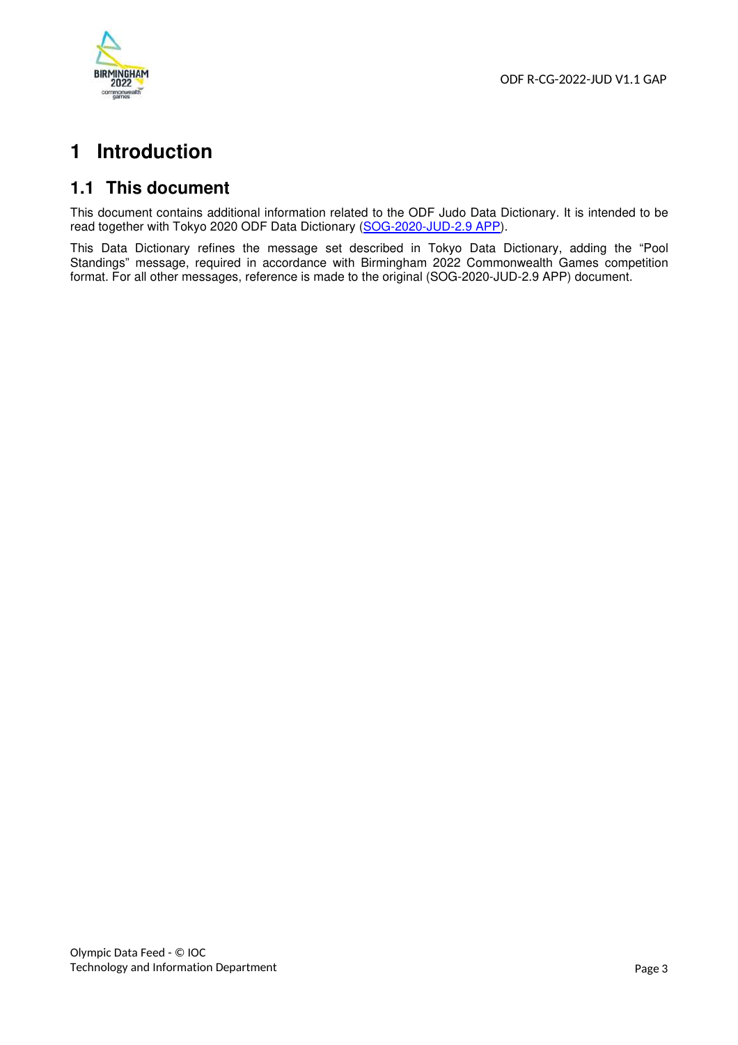

# **1 Introduction**

## **1.1 This document**

This document contains additional information related to the ODF Judo Data Dictionary. It is intended to be read together with Tokyo 2020 ODF Data Dictionary (SOG-2020-JUD-2.9 APP).

This Data Dictionary refines the message set described in Tokyo Data Dictionary, adding the "Pool Standings" message, required in accordance with Birmingham 2022 Commonwealth Games competition format. For all other messages, reference is made to the original (SOG-2020-JUD-2.9 APP) document.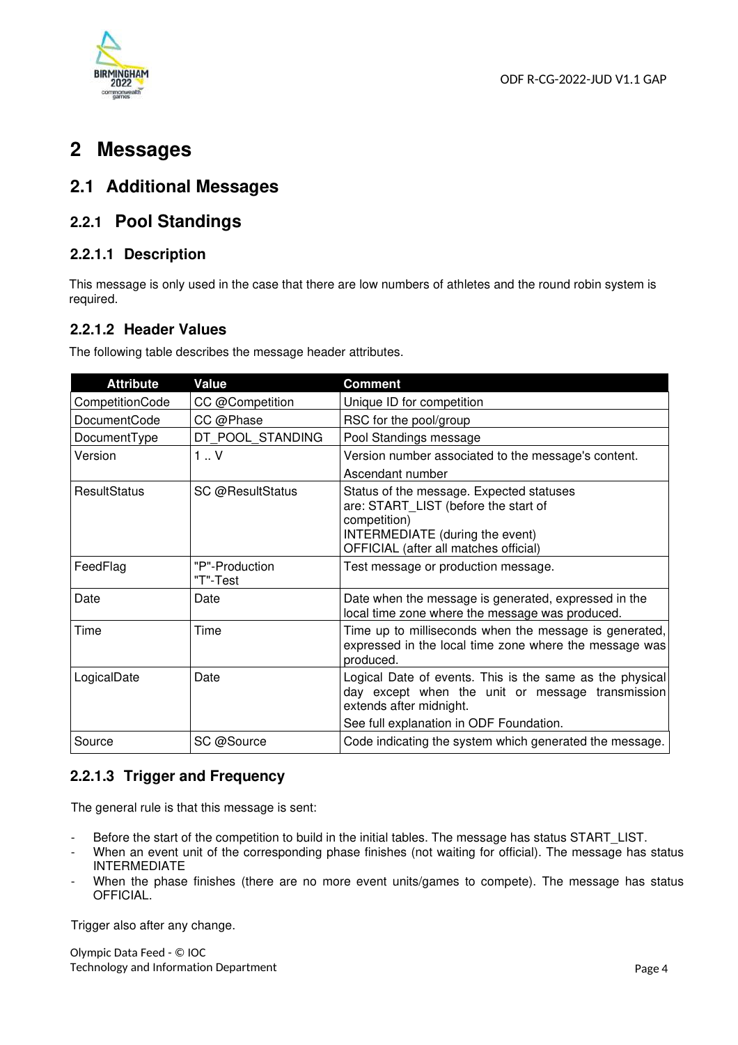

## **2 Messages**

## **2.1 Additional Messages**

## **2.2.1 Pool Standings**

#### **2.2.1.1 Description**

This message is only used in the case that there are low numbers of athletes and the round robin system is required.

#### **2.2.1.2 Header Values**

The following table describes the message header attributes.

| <b>Attribute</b>    | Value                      | <b>Comment</b>                                                                                                                                                                     |
|---------------------|----------------------------|------------------------------------------------------------------------------------------------------------------------------------------------------------------------------------|
| CompetitionCode     | CC @Competition            | Unique ID for competition                                                                                                                                                          |
| <b>DocumentCode</b> | CC @Phase                  | RSC for the pool/group                                                                                                                                                             |
| DocumentType        | DT POOL STANDING           | Pool Standings message                                                                                                                                                             |
| Version             | $1 \cdot V$                | Version number associated to the message's content.<br>Ascendant number                                                                                                            |
| <b>ResultStatus</b> | SC @ResultStatus           | Status of the message. Expected statuses<br>are: START_LIST (before the start of<br>competition)<br>INTERMEDIATE (during the event)<br>OFFICIAL (after all matches official)       |
| FeedFlag            | "P"-Production<br>"T"-Test | Test message or production message.                                                                                                                                                |
| Date                | Date                       | Date when the message is generated, expressed in the<br>local time zone where the message was produced.                                                                            |
| Time                | Time                       | Time up to milliseconds when the message is generated,<br>expressed in the local time zone where the message was<br>produced.                                                      |
| LogicalDate         | Date                       | Logical Date of events. This is the same as the physical<br>day except when the unit or message transmission<br>extends after midnight.<br>See full explanation in ODF Foundation. |
| Source              | SC @Source                 | Code indicating the system which generated the message.                                                                                                                            |

#### **2.2.1.3 Trigger and Frequency**

The general rule is that this message is sent:

- Before the start of the competition to build in the initial tables. The message has status START\_LIST.
- When an event unit of the corresponding phase finishes (not waiting for official). The message has status INTERMEDIATE
- When the phase finishes (there are no more event units/games to compete). The message has status OFFICIAL.

Trigger also after any change.

Olympic Data Feed - © IOC Technology and Information Department **Page 4** and 2001 and 2008 and 2008 and 2008 and 2008 and 2008 and 2008 and 2008 and 2008 and 2008 and 2008 and 2008 and 2008 and 2008 and 2008 and 2008 and 2008 and 2008 and 2008 and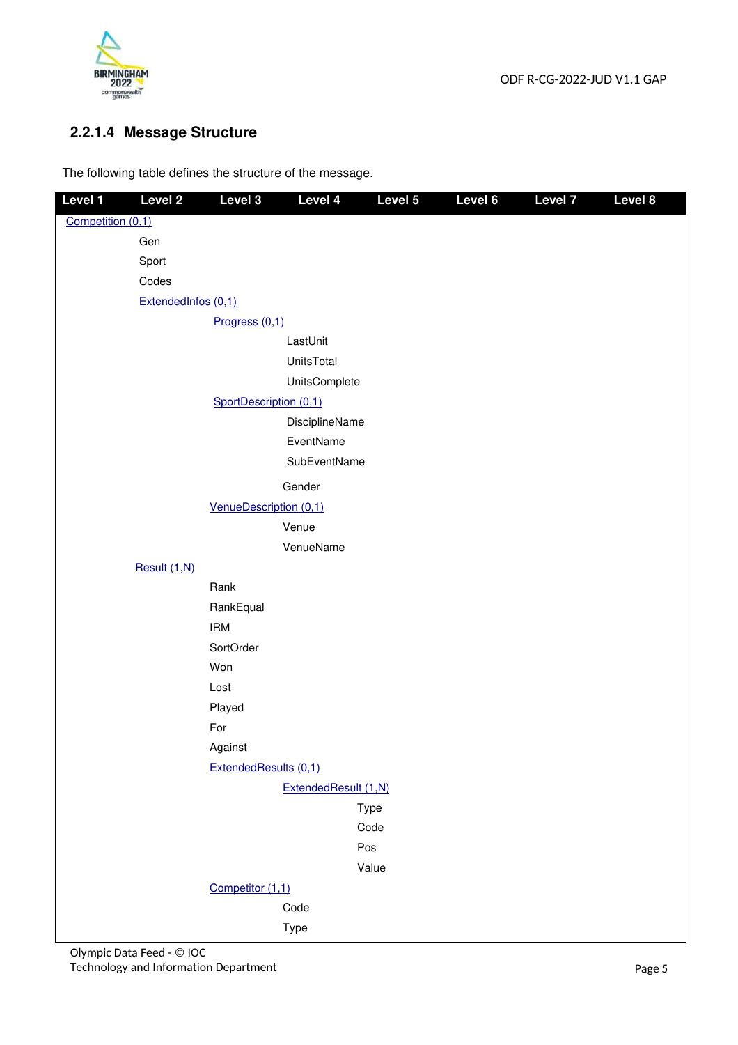

## **2.2.1.4 Message Structure**

The following table defines the structure of the message.

| Level 1           | Level <sub>2</sub>  | Level 3                | Level 4              | Level 5     | Level 6 | <b>Level 7</b> | Level 8 |
|-------------------|---------------------|------------------------|----------------------|-------------|---------|----------------|---------|
| Competition (0,1) |                     |                        |                      |             |         |                |         |
|                   | Gen                 |                        |                      |             |         |                |         |
|                   | Sport               |                        |                      |             |         |                |         |
|                   | Codes               |                        |                      |             |         |                |         |
|                   | ExtendedInfos (0,1) |                        |                      |             |         |                |         |
|                   |                     | Progress (0,1)         |                      |             |         |                |         |
|                   |                     |                        | LastUnit             |             |         |                |         |
|                   |                     |                        | UnitsTotal           |             |         |                |         |
|                   |                     |                        | UnitsComplete        |             |         |                |         |
|                   |                     | SportDescription (0,1) |                      |             |         |                |         |
|                   |                     |                        | DisciplineName       |             |         |                |         |
|                   |                     |                        | EventName            |             |         |                |         |
|                   |                     |                        | SubEventName         |             |         |                |         |
|                   |                     |                        | Gender               |             |         |                |         |
|                   |                     | VenueDescription (0,1) |                      |             |         |                |         |
|                   |                     |                        | Venue                |             |         |                |         |
|                   |                     |                        | VenueName            |             |         |                |         |
|                   | Result (1,N)        |                        |                      |             |         |                |         |
|                   |                     | Rank                   |                      |             |         |                |         |
|                   |                     | RankEqual              |                      |             |         |                |         |
|                   |                     | <b>IRM</b>             |                      |             |         |                |         |
|                   |                     | SortOrder              |                      |             |         |                |         |
|                   |                     | Won                    |                      |             |         |                |         |
|                   |                     | Lost                   |                      |             |         |                |         |
|                   |                     | Played                 |                      |             |         |                |         |
|                   |                     | For                    |                      |             |         |                |         |
|                   |                     | Against                |                      |             |         |                |         |
|                   |                     | ExtendedResults (0,1)  |                      |             |         |                |         |
|                   |                     |                        | ExtendedResult (1,N) |             |         |                |         |
|                   |                     |                        |                      | Type        |         |                |         |
|                   |                     |                        |                      | Code<br>Pos |         |                |         |
|                   |                     |                        |                      | Value       |         |                |         |
|                   |                     | Competitor (1,1)       |                      |             |         |                |         |
|                   |                     |                        | Code                 |             |         |                |         |
|                   |                     |                        | Type                 |             |         |                |         |
|                   |                     |                        |                      |             |         |                |         |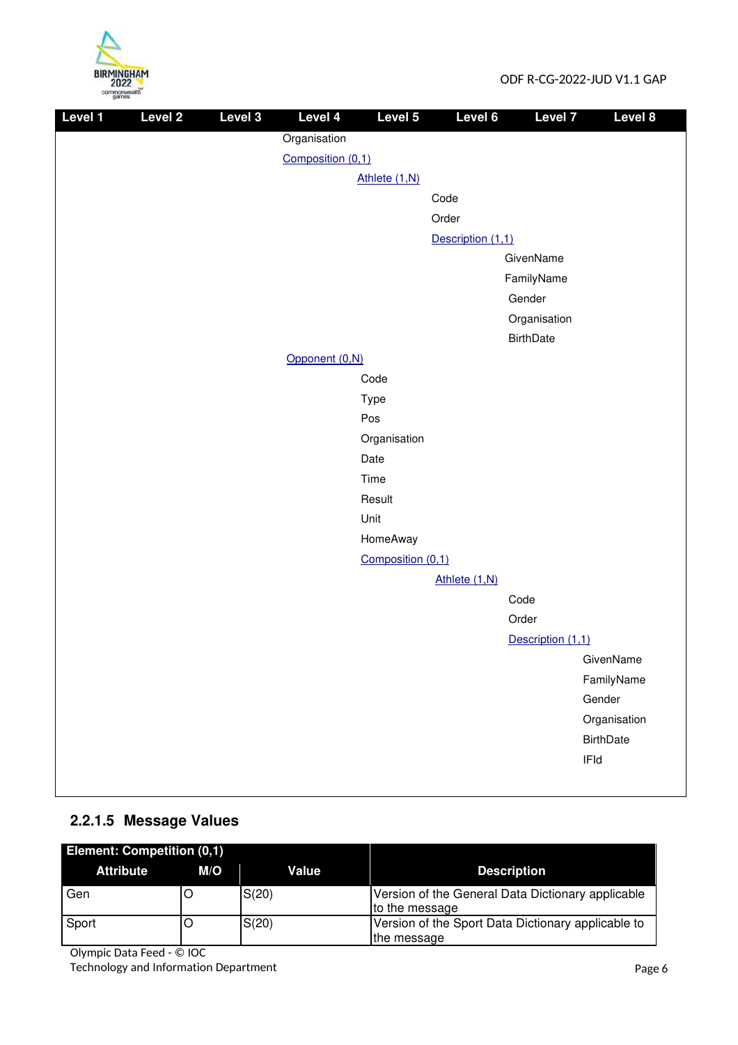

| Level 1 | Level 2 | Level 3 | Level 4           | Level 5           | Level 6           | Level 7           | Level 8          |
|---------|---------|---------|-------------------|-------------------|-------------------|-------------------|------------------|
|         |         |         | Organisation      |                   |                   |                   |                  |
|         |         |         | Composition (0,1) |                   |                   |                   |                  |
|         |         |         |                   | Athlete (1,N)     |                   |                   |                  |
|         |         |         |                   |                   | Code              |                   |                  |
|         |         |         |                   |                   | Order             |                   |                  |
|         |         |         |                   |                   | Description (1,1) |                   |                  |
|         |         |         |                   |                   |                   | GivenName         |                  |
|         |         |         |                   |                   |                   | FamilyName        |                  |
|         |         |         |                   |                   |                   | Gender            |                  |
|         |         |         |                   |                   |                   | Organisation      |                  |
|         |         |         |                   |                   |                   | <b>BirthDate</b>  |                  |
|         |         |         | Opponent (0,N)    |                   |                   |                   |                  |
|         |         |         |                   | Code              |                   |                   |                  |
|         |         |         |                   | Type              |                   |                   |                  |
|         |         |         |                   | Pos               |                   |                   |                  |
|         |         |         |                   | Organisation      |                   |                   |                  |
|         |         |         |                   | Date              |                   |                   |                  |
|         |         |         |                   | Time              |                   |                   |                  |
|         |         |         |                   | Result            |                   |                   |                  |
|         |         |         |                   | Unit<br>HomeAway  |                   |                   |                  |
|         |         |         |                   | Composition (0,1) |                   |                   |                  |
|         |         |         |                   |                   | Athlete (1,N)     |                   |                  |
|         |         |         |                   |                   |                   | Code              |                  |
|         |         |         |                   |                   |                   | Order             |                  |
|         |         |         |                   |                   |                   | Description (1,1) |                  |
|         |         |         |                   |                   |                   |                   | GivenName        |
|         |         |         |                   |                   |                   |                   | FamilyName       |
|         |         |         |                   |                   |                   |                   | Gender           |
|         |         |         |                   |                   |                   |                   | Organisation     |
|         |         |         |                   |                   |                   |                   | <b>BirthDate</b> |
|         |         |         |                   |                   |                   |                   | IFId             |
|         |         |         |                   |                   |                   |                   |                  |

## **2.2.1.5 Message Values**

| <b>Element: Competition (0,1)</b> |     |       |                                                                     |
|-----------------------------------|-----|-------|---------------------------------------------------------------------|
| <b>Attribute</b>                  | M/O | Value | <b>Description</b>                                                  |
| Gen                               |     | S(20) | Version of the General Data Dictionary applicable<br>to the message |
| Sport                             |     | S(20) | Version of the Sport Data Dictionary applicable to<br>the message   |

Olympic Data Feed - © IOC

Technology and Information Department **Page 6**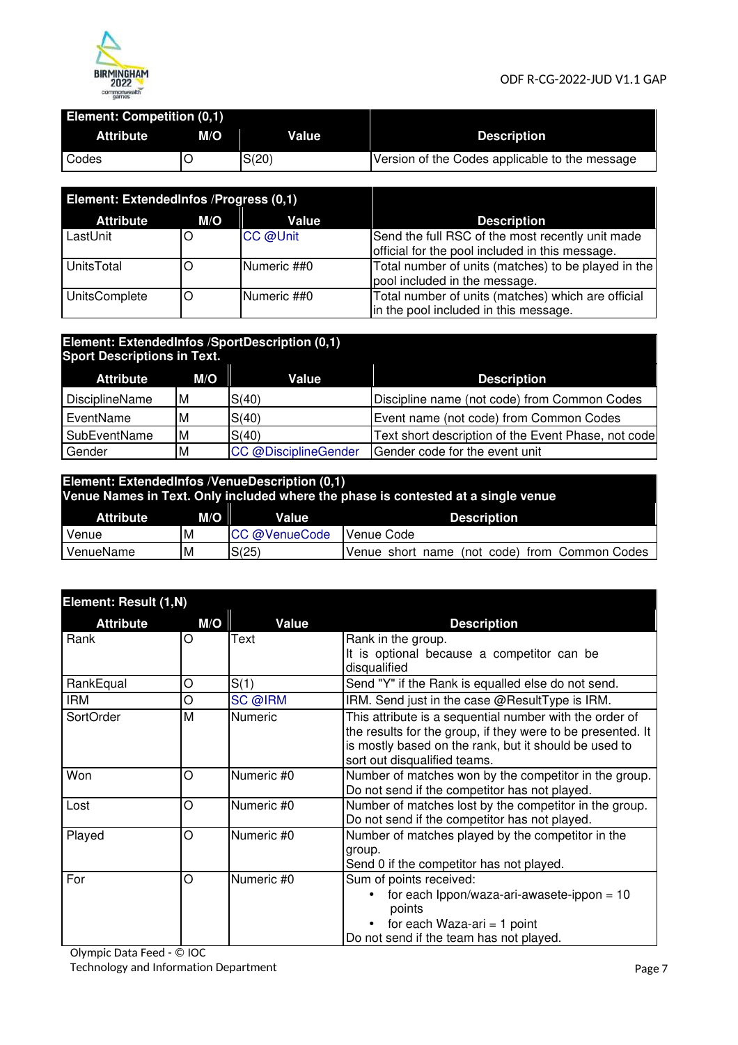

#### **Element: Competition (0,1)**

| <b>Attribute</b> | M/O | <b>Value</b> | <b>Description</b>                             |
|------------------|-----|--------------|------------------------------------------------|
| Codes            |     | S(20)        | Version of the Codes applicable to the message |

| Element: ExtendedInfos / Progress (0,1) |     |             |                                                                                                     |
|-----------------------------------------|-----|-------------|-----------------------------------------------------------------------------------------------------|
| <b>Attribute</b>                        | M/O | Value       | <b>Description</b>                                                                                  |
| LastUnit                                |     | CC @Unit    | Send the full RSC of the most recently unit made<br>official for the pool included in this message. |
| <b>UnitsTotal</b>                       |     | Numeric ##0 | Total number of units (matches) to be played in the<br>pool included in the message.                |
| UnitsComplete                           | O   | Numeric ##0 | Total number of units (matches) which are official<br>in the pool included in this message.         |

#### **Element: ExtendedInfos /SportDescription (0,1) Sport Descriptions in Text.**

| $P_{\text{S}}$ . $P_{\text{S}}$ . $P_{\text{S}}$ . $P_{\text{S}}$ . $P_{\text{S}}$ . $P_{\text{S}}$ |     |                      |                                                     |
|-----------------------------------------------------------------------------------------------------|-----|----------------------|-----------------------------------------------------|
| <b>Attribute</b>                                                                                    | M/O | Value                | <b>Description</b>                                  |
| DisciplineName                                                                                      | ١M  | S(40)                | Discipline name (not code) from Common Codes        |
| EventName                                                                                           | M   | S(40)                | Event name (not code) from Common Codes             |
| <b>SubEventName</b>                                                                                 | ΙM  | S(40)                | Text short description of the Event Phase, not code |
| Gender                                                                                              | M   | CC @DisciplineGender | Gender code for the event unit                      |

## **Element: ExtendedInfos /VenueDescription (0,1) Venue Names in Text. Only included where the phase is contested at a single venue Attribute M/O Value Description**

| Venue     | ΙM | CC @VenueCode | Nenue Code                                                   |
|-----------|----|---------------|--------------------------------------------------------------|
| VenueName | ΙM | C/OF<br>ں ے ا | Common Codes<br>trom<br>(not code)<br>Venue<br>name<br>short |
|           |    |               |                                                              |

| Element: Result (1,N) |     |                |                                                                                                                                                                                                                 |
|-----------------------|-----|----------------|-----------------------------------------------------------------------------------------------------------------------------------------------------------------------------------------------------------------|
| <b>Attribute</b>      | M/O | Value          | <b>Description</b>                                                                                                                                                                                              |
| Rank                  | O   | Text           | Rank in the group.<br>It is optional because a competitor can be<br>disqualified                                                                                                                                |
| RankEqual             | O   | S(1)           | Send "Y" if the Rank is equalled else do not send.                                                                                                                                                              |
| <b>IRM</b>            | O   | SC @IRM        | IRM. Send just in the case @ResultType is IRM.                                                                                                                                                                  |
| SortOrder             | M   | <b>Numeric</b> | This attribute is a sequential number with the order of<br>the results for the group, if they were to be presented. It<br>is mostly based on the rank, but it should be used to<br>sort out disqualified teams. |
| Won                   | O   | Numeric #0     | Number of matches won by the competitor in the group.<br>Do not send if the competitor has not played.                                                                                                          |
| Lost                  | O   | Numeric #0     | Number of matches lost by the competitor in the group.<br>Do not send if the competitor has not played.                                                                                                         |
| Played                | О   | Numeric #0     | Number of matches played by the competitor in the<br>group.<br>Send 0 if the competitor has not played.                                                                                                         |
| For                   | O   | Numeric #0     | Sum of points received:<br>for each $1$ ppon/waza-ari-awasete-ippon = 10<br>points<br>for each Waza-ari $=$ 1 point<br>Do not send if the team has not played.                                                  |

Olympic Data Feed - © IOC Technology and Information Department **Page 7** and 2001 12 and 2012 12 and 2012 12 and 2012 12 and 2012 12 and 20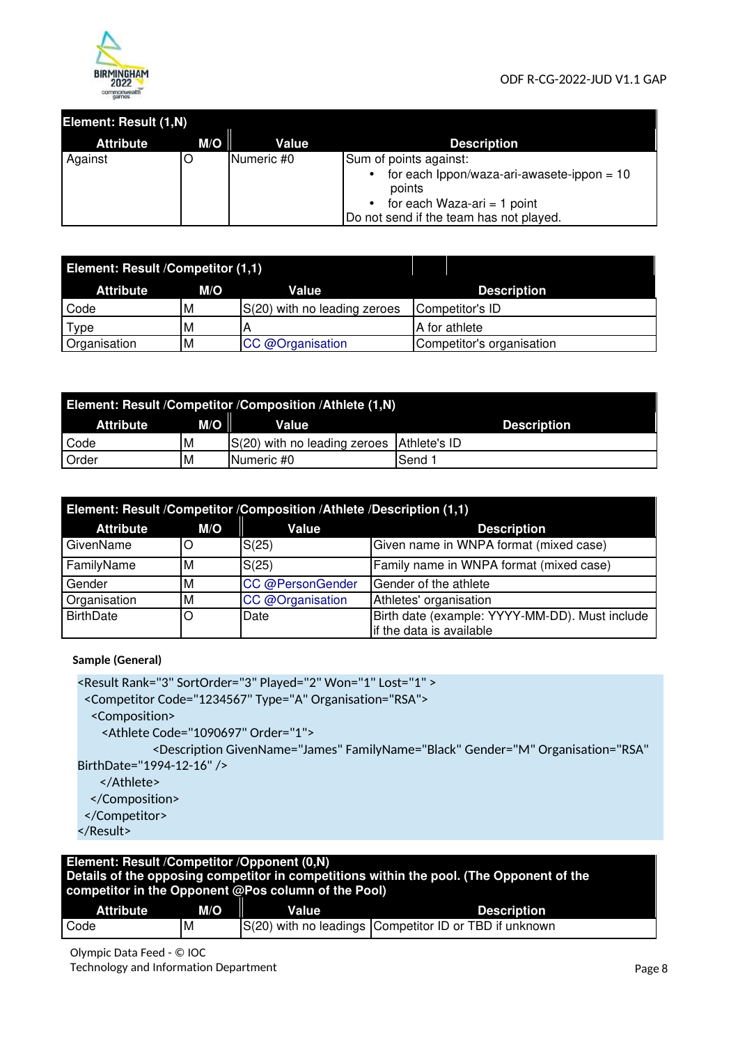

#### **Element: Result (1,N)**

| <b>Attribute</b> | $M/O$ $\parallel$ | Value      | <b>Description</b>                                                                                                                |
|------------------|-------------------|------------|-----------------------------------------------------------------------------------------------------------------------------------|
| Against          |                   | Numeric #0 | Sum of points against:                                                                                                            |
|                  |                   |            | for each $1$ ppon/waza-ari-awasete-ippon = 10<br>points<br>for each Waza-ari = 1 point<br>Do not send if the team has not played. |

| Element: Result <i>Competitor (1,1)</i> |     |                              |                           |
|-----------------------------------------|-----|------------------------------|---------------------------|
| <b>Attribute</b>                        | M/O | <b>Value</b>                 | <b>Description</b>        |
| Code                                    | M   | S(20) with no leading zeroes | Competitor's ID           |
| Type                                    | M   |                              | A for athlete             |
| Organisation                            | M   | CC @Organisation             | Competitor's organisation |

| Element: Result /Competitor /Composition /Athlete (1,N) |     |                                           |                    |  |
|---------------------------------------------------------|-----|-------------------------------------------|--------------------|--|
| <b>Attribute</b>                                        | M/O | Value                                     | <b>Description</b> |  |
| Code                                                    | M   | S(20) with no leading zeroes Athlete's ID |                    |  |
| Order                                                   | M   | Numeric #0                                | Send 1             |  |

| Element: Result /Competitor /Composition /Athlete /Description (1,1) |    |                                           |                                                                            |  |  |
|----------------------------------------------------------------------|----|-------------------------------------------|----------------------------------------------------------------------------|--|--|
| <b>Attribute</b><br>M/O<br>Value<br><b>Description</b>               |    |                                           |                                                                            |  |  |
| GivenName                                                            | ΙO | S(25)                                     | Given name in WNPA format (mixed case)                                     |  |  |
| FamilyName                                                           | ΙM | S(25)                                     | Family name in WNPA format (mixed case)                                    |  |  |
| Gender                                                               | ΙM | Gender of the athlete<br>CC @PersonGender |                                                                            |  |  |
| Organisation                                                         | ΙM | CC @Organisation                          | Athletes' organisation                                                     |  |  |
| <b>BirthDate</b>                                                     | ΙO | Date                                      | Birth date (example: YYYY-MM-DD). Must include<br>if the data is available |  |  |

**Sample (General)** 

<Result Rank="3" SortOrder="3" Played="2" Won="1" Lost="1" >

<Competitor Code="1234567" Type="A" Organisation="RSA">

<Composition>

<Athlete Code="1090697" Order="1">

<Description GivenName="James" FamilyName="Black" Gender="M" Organisation="RSA" BirthDate="1994-12-16" />

</Athlete>

</Composition>

```
</Competitor>
```

```
</Result>
```
#### **Element: Result /Competitor /Opponent (0,N) Details of the opposing competitor in competitions within the pool. (The Opponent of the competitor in the Opponent @Pos column of the Pool)**

| <b>Attribute</b> | .<br>M/O | <b>Value</b> | <b>Description</b>                                     |
|------------------|----------|--------------|--------------------------------------------------------|
| Code             | ΙM       |              | S(20) with no leadings Competitor ID or TBD if unknown |

Olympic Data Feed - © IOC Technology and Information Department **Page 8** and Page 8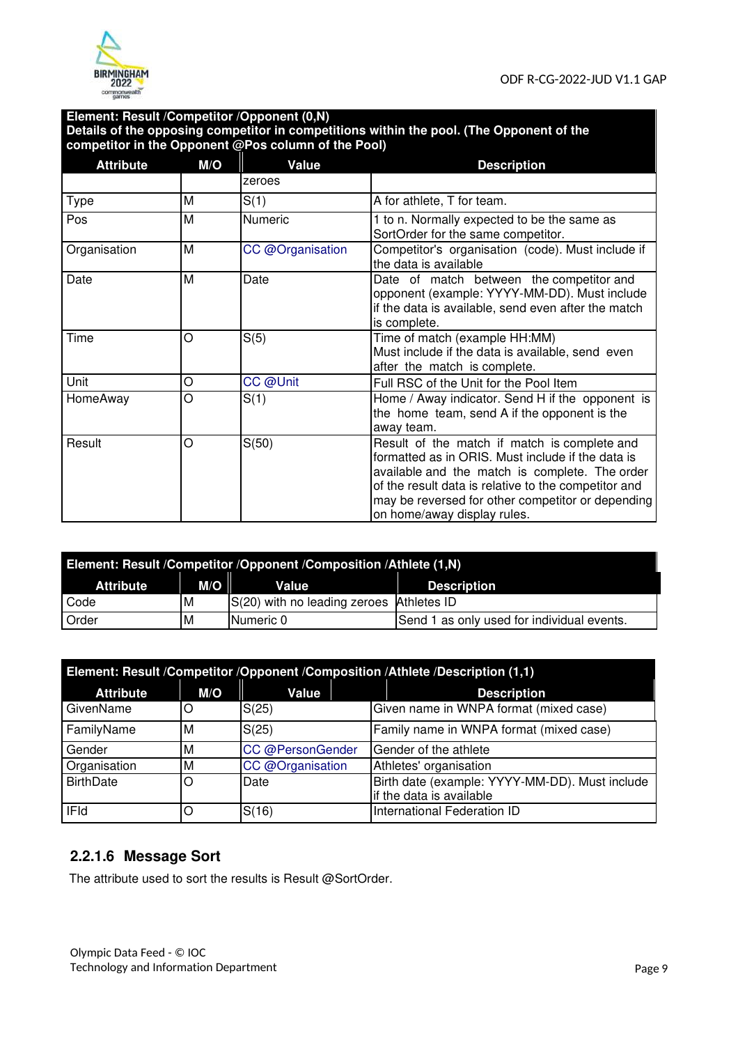

#### **Element: Result /Competitor /Opponent (0,N) Details of the opposing competitor in competitions within the pool. (The Opponent of the competitor in the Opponent @Pos column of the Pool)**

| <b>Attribute</b> | M/O | Value            | <b>Description</b>                                                                                                                                                                                                                                                                              |
|------------------|-----|------------------|-------------------------------------------------------------------------------------------------------------------------------------------------------------------------------------------------------------------------------------------------------------------------------------------------|
|                  |     | zeroes           |                                                                                                                                                                                                                                                                                                 |
| Type             | M   | S(1)             | A for athlete, T for team.                                                                                                                                                                                                                                                                      |
| Pos              | M   | <b>Numeric</b>   | 1 to n. Normally expected to be the same as<br>SortOrder for the same competitor.                                                                                                                                                                                                               |
| Organisation     | M   | CC @Organisation | Competitor's organisation (code). Must include if<br>the data is available                                                                                                                                                                                                                      |
| Date             | M   | Date             | Date of match between the competitor and<br>opponent (example: YYYY-MM-DD). Must include<br>if the data is available, send even after the match<br>is complete.                                                                                                                                 |
| Time             | O   | S(5)             | Time of match (example HH:MM)<br>Must include if the data is available, send even<br>after the match is complete.                                                                                                                                                                               |
| Unit             | O   | CC @Unit         | Full RSC of the Unit for the Pool Item                                                                                                                                                                                                                                                          |
| HomeAway         | O   | S(1)             | Home / Away indicator. Send H if the opponent is<br>the home team, send A if the opponent is the<br>away team.                                                                                                                                                                                  |
| Result           | O   | S(50)            | Result of the match if match is complete and<br>formatted as in ORIS. Must include if the data is<br>available and the match is complete. The order<br>of the result data is relative to the competitor and<br>may be reversed for other competitor or depending<br>on home/away display rules. |

| Element: Result /Competitor /Opponent /Composition /Athlete (1,N) |     |                                          |  |                                            |  |
|-------------------------------------------------------------------|-----|------------------------------------------|--|--------------------------------------------|--|
| <b>Attribute</b>                                                  | M/O | Value                                    |  | <b>Description</b>                         |  |
| Code                                                              | M   | S(20) with no leading zeroes Athletes ID |  |                                            |  |
| Order                                                             | М   | Numeric 0                                |  | Send 1 as only used for individual events. |  |

| Element: Result /Competitor /Opponent /Composition /Athlete /Description (1,1) |     |                  |                                                                            |  |  |
|--------------------------------------------------------------------------------|-----|------------------|----------------------------------------------------------------------------|--|--|
| <b>Attribute</b>                                                               | M/O | Value            | <b>Description</b>                                                         |  |  |
| GivenName                                                                      | O   | S(25)            | Given name in WNPA format (mixed case)                                     |  |  |
| FamilyName                                                                     | ΙM  | S(25)            | Family name in WNPA format (mixed case)                                    |  |  |
| Gender                                                                         | ΙM  | CC @PersonGender | Gender of the athlete                                                      |  |  |
| Organisation                                                                   | ΙM  | CC @Organisation | Athletes' organisation                                                     |  |  |
| <b>BirthDate</b>                                                               | IO  | Date             | Birth date (example: YYYY-MM-DD). Must include<br>if the data is available |  |  |
| <b>IFId</b>                                                                    | O   | S(16)            | International Federation ID                                                |  |  |

## **2.2.1.6 Message Sort**

The attribute used to sort the results is Result @SortOrder.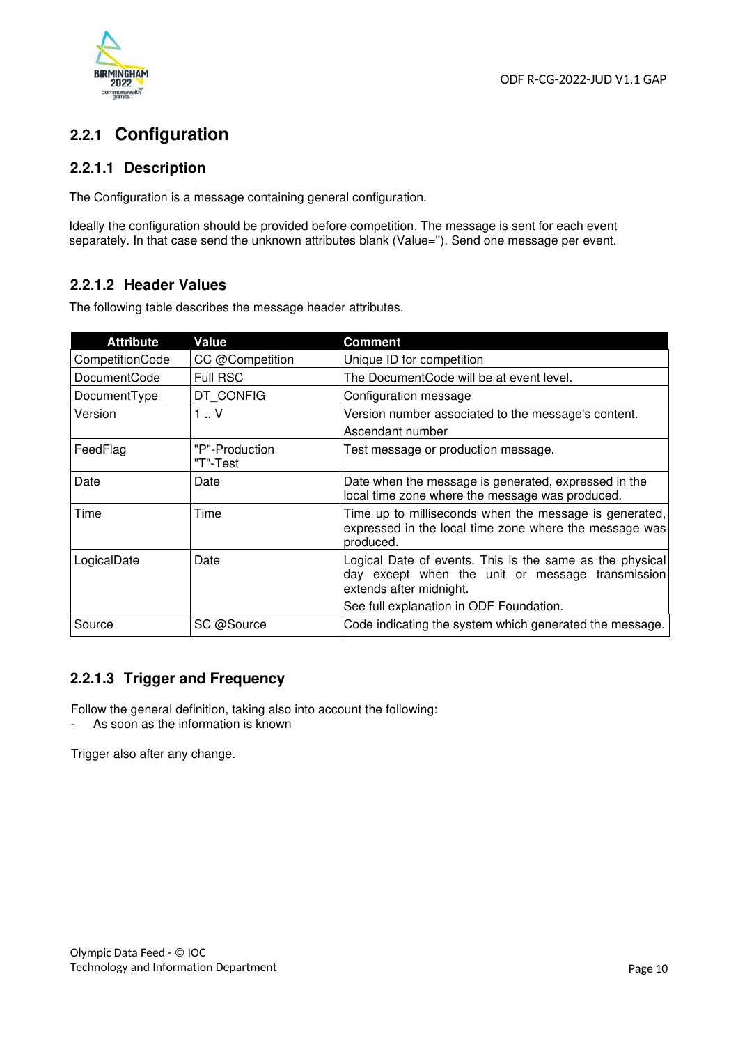

## **2.2.1 Configuration**

#### **2.2.1.1 Description**

The Configuration is a message containing general configuration.

Ideally the configuration should be provided before competition. The message is sent for each event separately. In that case send the unknown attributes blank (Value="). Send one message per event.

#### **2.2.1.2 Header Values**

The following table describes the message header attributes.

| <b>Attribute</b>    | Value                      | Comment                                                                                                                                 |
|---------------------|----------------------------|-----------------------------------------------------------------------------------------------------------------------------------------|
| CompetitionCode     | CC @Competition            | Unique ID for competition                                                                                                               |
| <b>DocumentCode</b> | <b>Full RSC</b>            | The Document Code will be at event level.                                                                                               |
| DocumentType        | DT CONFIG                  | Configuration message                                                                                                                   |
| Version             | $1 \cdot V$                | Version number associated to the message's content.                                                                                     |
|                     |                            | Ascendant number                                                                                                                        |
| FeedFlag            | "P"-Production<br>"T"-Test | Test message or production message.                                                                                                     |
| Date                | Date                       | Date when the message is generated, expressed in the<br>local time zone where the message was produced.                                 |
| Time                | Time                       | Time up to milliseconds when the message is generated,<br>expressed in the local time zone where the message was<br>produced.           |
| LogicalDate         | Date                       | Logical Date of events. This is the same as the physical<br>day except when the unit or message transmission<br>extends after midnight. |
|                     |                            | See full explanation in ODF Foundation.                                                                                                 |
| Source              | SC @Source                 | Code indicating the system which generated the message.                                                                                 |

## **2.2.1.3 Trigger and Frequency**

Follow the general definition, taking also into account the following:

- As soon as the information is known

Trigger also after any change.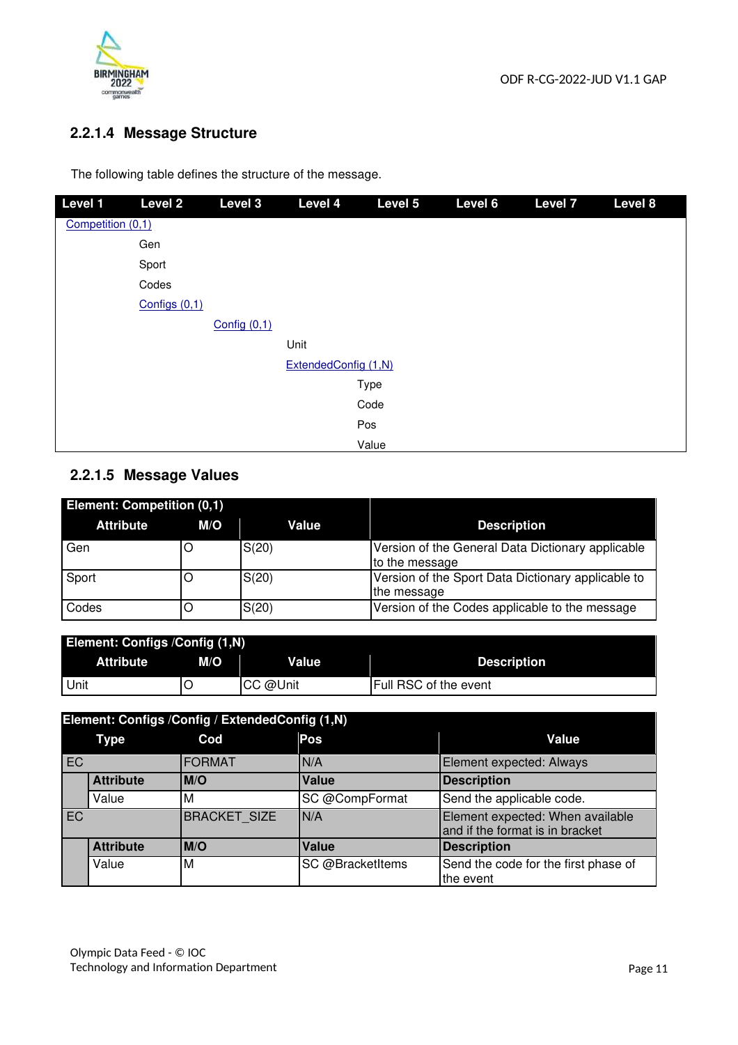

## **2.2.1.4 Message Structure**

The following table defines the structure of the message.

| Level 1           | Level <sub>2</sub> | Level 3        | Level 4              | Level 5 | Level 6 | <b>Level 7</b> | Level 8 |
|-------------------|--------------------|----------------|----------------------|---------|---------|----------------|---------|
| Competition (0,1) |                    |                |                      |         |         |                |         |
|                   | Gen                |                |                      |         |         |                |         |
|                   | Sport              |                |                      |         |         |                |         |
|                   | Codes              |                |                      |         |         |                |         |
|                   | Configs $(0,1)$    |                |                      |         |         |                |         |
|                   |                    | Config $(0,1)$ |                      |         |         |                |         |
|                   |                    |                | Unit                 |         |         |                |         |
|                   |                    |                | ExtendedConfig (1,N) |         |         |                |         |
|                   |                    |                |                      | Type    |         |                |         |
|                   |                    |                |                      | Code    |         |                |         |
|                   |                    |                |                      | Pos     |         |                |         |
|                   |                    |                |                      | Value   |         |                |         |

## **2.2.1.5 Message Values**

| Element: Competition (0,1) |     |       |                                                                     |
|----------------------------|-----|-------|---------------------------------------------------------------------|
| <b>Attribute</b>           | M/O | Value | <b>Description</b>                                                  |
| Gen                        |     | S(20) | Version of the General Data Dictionary applicable<br>to the message |
| Sport                      |     | S(20) | Version of the Sport Data Dictionary applicable to<br>the message   |
| Codes                      |     | S(20) | Version of the Codes applicable to the message                      |

| <b>Element: Configs / Config (1,N)</b> |     |          |                              |  |  |
|----------------------------------------|-----|----------|------------------------------|--|--|
| <b>Attribute</b>                       | M/O | Value    | <b>Description</b>           |  |  |
| l Unit                                 |     | CC @Unit | <b>Full RSC of the event</b> |  |  |

|           | Element: Configs / Config / Extended Config (1, N) |                     |                  |                                                                     |  |  |
|-----------|----------------------------------------------------|---------------------|------------------|---------------------------------------------------------------------|--|--|
|           | Type                                               | Cod                 | Pos              | Value                                                               |  |  |
| EC        |                                                    | <b>FORMAT</b>       | N/A              | Element expected: Always                                            |  |  |
|           | <b>Attribute</b>                                   | <b>IM/O</b>         | <b>Value</b>     | <b>Description</b>                                                  |  |  |
|           | Value                                              | M                   | SC @CompFormat   | Send the applicable code.                                           |  |  |
| <b>EC</b> |                                                    | <b>BRACKET SIZE</b> | IN/A             | Element expected: When available<br>and if the format is in bracket |  |  |
|           | <b>Attribute</b>                                   | <b>IM/O</b>         | <b>Value</b>     | <b>Description</b>                                                  |  |  |
|           | Value                                              | M                   | SC @BracketItems | Send the code for the first phase of<br>the event                   |  |  |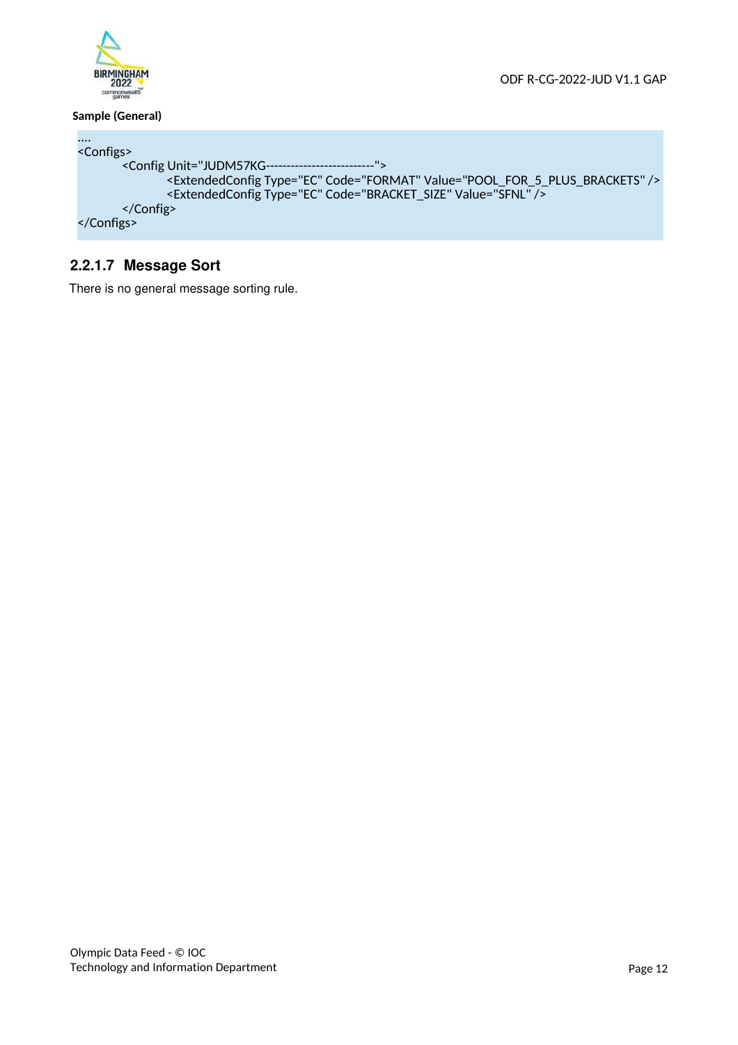

#### **Sample (General)**

```
....
<Configs> 
       <Config Unit="JUDM57KG--------------------------">
 <ExtendedConfig Type="EC" Code="FORMAT" Value="POOL_FOR_5_PLUS_BRACKETS" /> 
 <ExtendedConfig Type="EC" Code="BRACKET_SIZE" Value="SFNL" /> 
       </Config> 
</Configs>
```
#### **2.2.1.7 Message Sort**

There is no general message sorting rule.